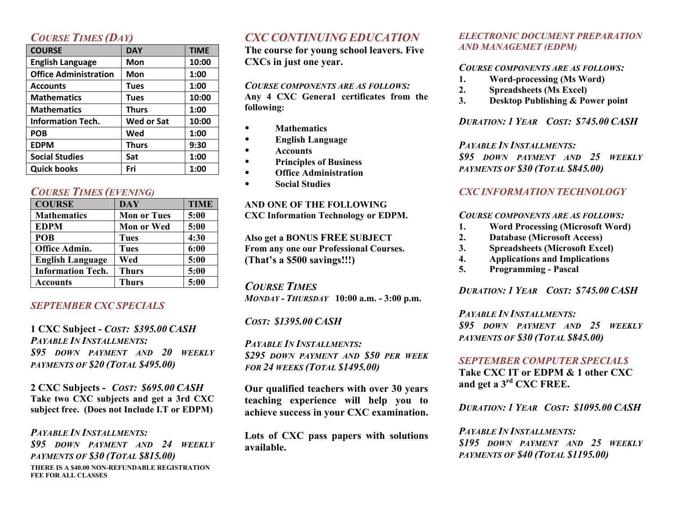## *COURSE TIMES (DAY)*

| <b>COURSE</b>                | <b>DAY</b>        | <b>TIME</b> |
|------------------------------|-------------------|-------------|
| <b>English Language</b>      | Mon               | 10:00       |
| <b>Office Administration</b> | Mon               | 1:00        |
| <b>Accounts</b>              | <b>Tues</b>       | 1:00        |
| <b>Mathematics</b>           | <b>Tues</b>       | 10:00       |
| <b>Mathematics</b>           | <b>Thurs</b>      | 1:00        |
| <b>Information Tech.</b>     | <b>Wed or Sat</b> | 10:00       |
| <b>POB</b>                   | Wed               | 1:00        |
| <b>EDPM</b>                  | <b>Thurs</b>      | 9:30        |
| <b>Social Studies</b>        | Sat               | 1:00        |
| <b>Quick books</b>           | Fri               | 1:00        |

## *COURSE TIMES (EVENING)*

| <b>COURSE</b>            | <b>DAY</b>         | <b>TIME</b> |
|--------------------------|--------------------|-------------|
| <b>Mathematics</b>       | <b>Mon or Tues</b> | 5:00        |
| <b>EDPM</b>              | <b>Mon or Wed</b>  | 5:00        |
| POB                      | <b>Tues</b>        | 4:30        |
| Office Admin.            | <b>Tues</b>        | 6:00        |
| <b>English Language</b>  | Wed                | 5:00        |
| <b>Information Tech.</b> | <b>Thurs</b>       | 5:00        |
| Accounts                 | <b>Thurs</b>       | 5:00        |

## *SEPTEMBER CXC SPECIALS*

**1 CXC Subject -** *COST: \$395.00 CASH PAYABLE IN INSTALLMENTS: \$95 DOWN PAYMENT AND 20 WEEKLY PAYMENTS OF \$20 (TOTAL \$495.00)*

**2 CXC Subjects -** *COST: \$695.00 CASH* **Take two CXC subjects and get a 3rd CXC subject free. (Does not Include I.T or EDPM)**

#### **THERE IS A \$40.00 NON-REFUNDABLE REGISTRATION FEE FOR ALL CLASSES** *PAYABLE IN INSTALLMENTS: \$95 DOWN PAYMENT AND 24 WEEKLY PAYMENTS OF \$30 (TOTAL \$815.00)*

## *CXC CONTINUING EDUCATION*

**The course for young school leavers. Five CXCs in just one year.**

#### *COURSE COMPONENTS ARE AS FOLLOWS:*

**Any 4 CXC Genera1 certificates from the following:** 

- **Mathematics**
- **English Language**
- **Accounts**
- **Principles of Business**
- **Office Administration**
- **Social Studies**

#### **AND ONE OF THE FOLLOWING CXC Information Technology or EDPM.**

#### **Also get a BONUS FREE SUBJECT**

**From any one our Professional Courses. (That's a \$500 savings!!!)**

## *COURSE TIMES*

*MONDAY - THURSDAY* **10:00 a.m. - 3:00 p.m.**

#### *COST: \$1395.00 CASH*

*PAYABLE IN INSTALLMENTS: \$295 DOWN PAYMENT AND \$50 PER WEEK FOR 24 WEEKS (TOTAL \$1495.00)*

**Our qualified teachers with over 30 years teaching experience will help you to achieve success in your CXC examination.**

**Lots of CXC pass papers with solutions available.**

#### *ELECTRONIC DOCUMENT PREPARATION AND MANAGEMET (EDPM)*

#### *COURSE COMPONENTS ARE AS FOLLOWS:*

- **1. Word-processing (Ms Word)**
- **2. Spreadsheets (Ms Excel)**
- **3. Desktop Publishing & Power point**

## *DURATION: 1 YEAR COST: \$745.00 CASH*

## *PAYABLE IN INSTALLMENTS:*

*\$95 DOWN PAYMENT AND 25 WEEKLY PAYMENTS OF \$30 (TOTAL \$845.00)*

## *CXC INFORMATION TECHNOLOGY*

### *COURSE COMPONENTS ARE AS FOLLOWS:*

- **1. Word Processing (Microsoft Word)**
- **2. Database (Microsoft Access)**
- **3. Spreadsheets (Microsoft Excel)**
- **4. Applications and Implications**
- **5. Programming - Pascal**

## *DURATION: 1 YEAR COST: \$745.00 CASH*

## *PAYABLE IN INSTALLMENTS:*

*\$95 DOWN PAYMENT AND 25 WEEKLY PAYMENTS OF \$30 (TOTAL \$845.00)*

## *SEPTEMBER COMPUTER SPECIAL\$*

**Take CXC IT or EDPM & 1 other CXC and get a 3rd CXC FREE.** 

*DURATION: 1 YEAR COST: \$1095.00 CASH*

*PAYABLE IN INSTALLMENTS: \$195 DOWN PAYMENT AND 25 WEEKLY PAYMENTS OF \$40 (TOTAL \$1195.00)*